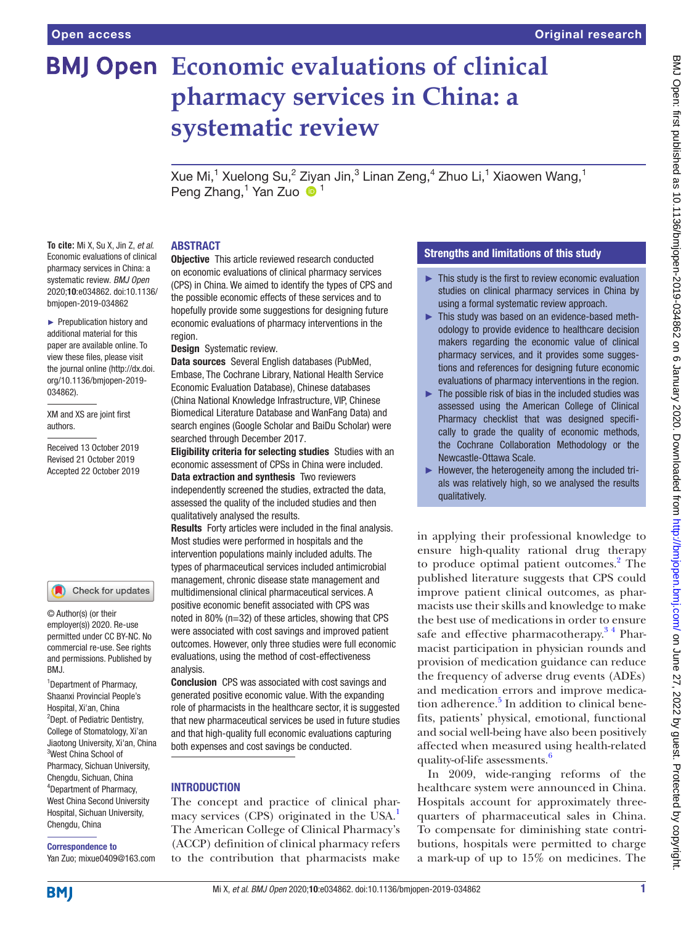# **EXALUATE: EXALUATE: EXALUATE: EXALUATE: EXALUATE: EXALUATE: EXALUATE: EXALUATE: EXALUATE: EXALUATE: EXALUATE: EXALUATE: EXALUATE: EXALUATE: CONOMIST: EXALUATE: CONOMIST: CONOMIST: CONOM pharmacy services in China: a systematic review**

Xue Mi, $^1$  Xuelong Su, $^2$  Ziyan Jin, $^3$  Linan Zeng, $^4$  Zhuo Li, $^1$  Xiaowen Wang, $^1$ Peng Zhang,<sup>1</sup> Yan Zuo <sup>1</sup>

# **ABSTRACT**

**To cite:** Mi X, Su X, Jin Z, *et al*. Economic evaluations of clinical pharmacy services in China: a systematic review. *BMJ Open* 2020;10:e034862. doi:10.1136/ bmjopen-2019-034862

► Prepublication history and additional material for this paper are available online. To view these files, please visit the journal online (http://dx.doi. org/10.1136/bmjopen-2019- 034862).

XM and XS are joint first authors.

Received 13 October 2019 Revised 21 October 2019 Accepted 22 October 2019

#### Check for updates

© Author(s) (or their employer(s)) 2020. Re-use permitted under CC BY-NC. No commercial re-use. See rights and permissions. Published by BMJ.

<sup>1</sup> Department of Pharmacy, Shaanxi Provincial People's Hospital, Xi'an, China 2 Dept. of Pediatric Dentistry, College of Stomatology, Xi'an Jiaotong University, Xi'an, China 3 West China School of Pharmacy, Sichuan University, Chengdu, Sichuan, China 4 Department of Pharmacy, West China Second University Hospital, Sichuan University, Chengdu, China

# Correspondence to

Yan Zuo; mixue0409@163.com

**Objective** This article reviewed research conducted on economic evaluations of clinical pharmacy services (CPS) in China. We aimed to identify the types of CPS and the possible economic effects of these services and to hopefully provide some suggestions for designing future economic evaluations of pharmacy interventions in the region.

#### Design Systematic review.

Data sources Several English databases (PubMed, Embase, The Cochrane Library, National Health Service Economic Evaluation Database), Chinese databases (China National Knowledge Infrastructure, VIP, Chinese Biomedical Literature Database and WanFang Data) and search engines (Google Scholar and BaiDu Scholar) were searched through December 2017.

Eligibility criteria for selecting studies Studies with an economic assessment of CPSs in China were included. Data extraction and synthesis Two reviewers independently screened the studies, extracted the data, assessed the quality of the included studies and then qualitatively analysed the results.

Results Forty articles were included in the final analysis. Most studies were performed in hospitals and the intervention populations mainly included adults. The types of pharmaceutical services included antimicrobial management, chronic disease state management and multidimensional clinical pharmaceutical services. A positive economic benefit associated with CPS was noted in 80% (n=32) of these articles, showing that CPS were associated with cost savings and improved patient outcomes. However, only three studies were full economic evaluations, using the method of cost-effectiveness analysis.

Conclusion CPS was associated with cost savings and generated positive economic value. With the expanding role of pharmacists in the healthcare sector, it is suggested that new pharmaceutical services be used in future studies and that high-quality full economic evaluations capturing both expenses and cost savings be conducted.

# **INTRODUCTION**

The concept and practice of clinical phar-macy services (CPS) originated in the USA.<sup>[1](#page-11-0)</sup> The American College of Clinical Pharmacy's (ACCP) definition of clinical pharmacy refers to the contribution that pharmacists make

# Strengths and limitations of this study

- ► This study is the first to review economic evaluation studies on clinical pharmacy services in China by using a formal systematic review approach.
- ► This study was based on an evidence-based methodology to provide evidence to healthcare decision makers regarding the economic value of clinical pharmacy services, and it provides some suggestions and references for designing future economic evaluations of pharmacy interventions in the region.
- $\blacktriangleright$  The possible risk of bias in the included studies was assessed using the American College of Clinical Pharmacy checklist that was designed specifically to grade the quality of economic methods, the Cochrane Collaboration Methodology or the Newcastle-Ottawa Scale.
- ► However, the heterogeneity among the included trials was relatively high, so we analysed the results qualitatively.

in applying their professional knowledge to ensure high-quality rational drug therapy to produce optimal patient outcomes.<sup>[2](#page-11-1)</sup> The published literature suggests that CPS could improve patient clinical outcomes, as pharmacists use their skills and knowledge to make the best use of medications in order to ensure safe and effective pharmacotherapy. $3<sup>4</sup>$  Pharmacist participation in physician rounds and provision of medication guidance can reduce the frequency of adverse drug events (ADEs) and medication errors and improve medication adherence.<sup>5</sup> In addition to clinical benefits, patients' physical, emotional, functional and social well-being have also been positively affected when measured using health-related quality-of-life assessments.<sup>[6](#page-11-4)</sup>

In 2009, wide-ranging reforms of the healthcare system were announced in China. Hospitals account for approximately threequarters of pharmaceutical sales in China. To compensate for diminishing state contributions, hospitals were permitted to charge a mark-up of up to 15% on medicines. The

**BMI**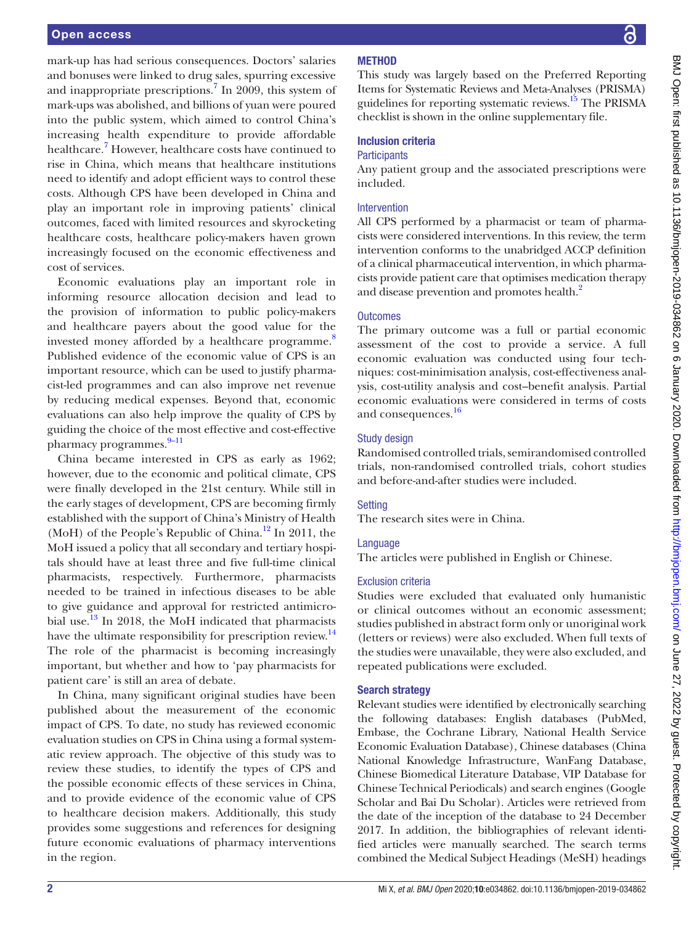#### Open access

mark-up has had serious consequences. Doctors' salaries and bonuses were linked to drug sales, spurring excessive and inappropriate prescriptions.<sup>7</sup> In 2009, this system of mark-ups was abolished, and billions of yuan were poured into the public system, which aimed to control China's increasing health expenditure to provide affordable healthcare.<sup>[7](#page-11-5)</sup> However, healthcare costs have continued to rise in China, which means that healthcare institutions need to identify and adopt efficient ways to control these costs. Although CPS have been developed in China and play an important role in improving patients' clinical outcomes, faced with limited resources and skyrocketing healthcare costs, healthcare policy-makers haven grown increasingly focused on the economic effectiveness and cost of services.

Economic evaluations play an important role in informing resource allocation decision and lead to the provision of information to public policy-makers and healthcare payers about the good value for the invested money afforded by a healthcare programme.<sup>[8](#page-11-6)</sup> Published evidence of the economic value of CPS is an important resource, which can be used to justify pharmacist-led programmes and can also improve net revenue by reducing medical expenses. Beyond that, economic evaluations can also help improve the quality of CPS by guiding the choice of the most effective and cost-effective pharmacy programmes.<sup>9-11</sup>

China became interested in CPS as early as 1962; however, due to the economic and political climate, CPS were finally developed in the 21st century. While still in the early stages of development, CPS are becoming firmly established with the support of China's Ministry of Health (MoH) of the People's Republic of China.<sup>[12](#page-11-8)</sup> In 2011, the MoH issued a policy that all secondary and tertiary hospitals should have at least three and five full-time clinical pharmacists, respectively. Furthermore, pharmacists needed to be trained in infectious diseases to be able to give guidance and approval for restricted antimicrobial use.<sup>13</sup> In 2018, the MoH indicated that pharmacists have the ultimate responsibility for prescription review.<sup>[14](#page-11-10)</sup> The role of the pharmacist is becoming increasingly important, but whether and how to 'pay pharmacists for patient care' is still an area of debate.

In China, many significant original studies have been published about the measurement of the economic impact of CPS. To date, no study has reviewed economic evaluation studies on CPS in China using a formal systematic review approach. The objective of this study was to review these studies, to identify the types of CPS and the possible economic effects of these services in China, and to provide evidence of the economic value of CPS to healthcare decision makers. Additionally, this study provides some suggestions and references for designing future economic evaluations of pharmacy interventions in the region.

# **METHOD**

This study was largely based on the Preferred Reporting Items for Systematic Reviews and Meta-Analyses (PRISMA) guidelines for reporting systematic reviews.<sup>15</sup> The PRISMA checklist is shown in the [online supplementary file](https://dx.doi.org/10.1136/bmjopen-2019-034862).

## Inclusion criteria

### **Participants**

Any patient group and the associated prescriptions were included.

#### Intervention

All CPS performed by a pharmacist or team of pharmacists were considered interventions. In this review, the term intervention conforms to the unabridged ACCP definition of a clinical pharmaceutical intervention, in which pharmacists provide patient care that optimises medication therapy and disease prevention and promotes health.<sup>[2](#page-11-1)</sup>

#### **Outcomes**

The primary outcome was a full or partial economic assessment of the cost to provide a service. A full economic evaluation was conducted using four techniques: cost-minimisation analysis, cost-effectiveness analysis, cost-utility analysis and cost–benefit analysis. Partial economic evaluations were considered in terms of costs and consequences.<sup>[16](#page-11-12)</sup>

#### Study design

Randomised controlled trials, semirandomised controlled trials, non-randomised controlled trials, cohort studies and before-and-after studies were included.

#### **Setting**

The research sites were in China.

#### Language

The articles were published in English or Chinese.

#### Exclusion criteria

Studies were excluded that evaluated only humanistic or clinical outcomes without an economic assessment; studies published in abstract form only or unoriginal work (letters or reviews) were also excluded. When full texts of the studies were unavailable, they were also excluded, and repeated publications were excluded.

#### Search strategy

Relevant studies were identified by electronically searching the following databases: English databases (PubMed, Embase, the Cochrane Library, National Health Service Economic Evaluation Database), Chinese databases (China National Knowledge Infrastructure, WanFang Database, Chinese Biomedical Literature Database, VIP Database for Chinese Technical Periodicals) and search engines (Google Scholar and Bai Du Scholar). Articles were retrieved from the date of the inception of the database to 24 December 2017. In addition, the bibliographies of relevant identified articles were manually searched. The search terms combined the Medical Subject Headings (MeSH) headings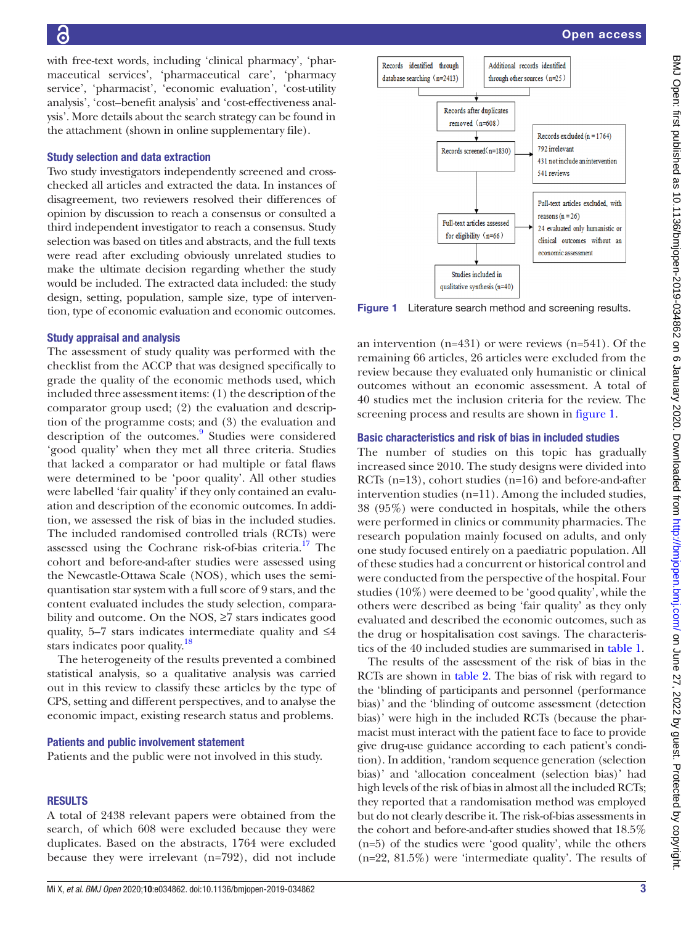with free-text words, including 'clinical pharmacy', 'pharmaceutical services', 'pharmaceutical care', 'pharmacy service', 'pharmacist', 'economic evaluation', 'cost-utility analysis', 'cost–benefit analysis' and 'cost-effectiveness analysis'. More details about the search strategy can be found in the attachment (shown in [online supplementary file\)](https://dx.doi.org/10.1136/bmjopen-2019-034862).

#### Study selection and data extraction

Two study investigators independently screened and crosschecked all articles and extracted the data. In instances of disagreement, two reviewers resolved their differences of opinion by discussion to reach a consensus or consulted a third independent investigator to reach a consensus. Study selection was based on titles and abstracts, and the full texts were read after excluding obviously unrelated studies to make the ultimate decision regarding whether the study would be included. The extracted data included: the study design, setting, population, sample size, type of intervention, type of economic evaluation and economic outcomes.

#### Study appraisal and analysis

The assessment of study quality was performed with the checklist from the ACCP that was designed specifically to grade the quality of the economic methods used, which included three assessment items: (1) the description of the comparator group used; (2) the evaluation and description of the programme costs; and (3) the evaluation and description of the outcomes.<sup>9</sup> Studies were considered 'good quality' when they met all three criteria. Studies that lacked a comparator or had multiple or fatal flaws were determined to be 'poor quality'. All other studies were labelled 'fair quality' if they only contained an evaluation and description of the economic outcomes. In addition, we assessed the risk of bias in the included studies. The included randomised controlled trials (RCTs) were assessed using the Cochrane risk-of-bias criteria.<sup>17</sup> The cohort and before-and-after studies were assessed using the Newcastle-Ottawa Scale (NOS), which uses the semiquantisation star system with a full score of 9 stars, and the content evaluated includes the study selection, comparability and outcome. On the NOS, ≥7 stars indicates good quality, 5–7 stars indicates intermediate quality and  $\leq 4$ stars indicates poor quality.<sup>[18](#page-11-14)</sup>

The heterogeneity of the results prevented a combined statistical analysis, so a qualitative analysis was carried out in this review to classify these articles by the type of CPS, setting and different perspectives, and to analyse the economic impact, existing research status and problems.

#### Patients and public involvement statement

Patients and the public were not involved in this study.

#### **RESULTS**

A total of 2438 relevant papers were obtained from the search, of which 608 were excluded because they were duplicates. Based on the abstracts, 1764 were excluded because they were irrelevant (n=792), did not include



<span id="page-2-0"></span>Figure 1 Literature search method and screening results.

an intervention (n=431) or were reviews (n=541). Of the remaining 66 articles, 26 articles were excluded from the review because they evaluated only humanistic or clinical outcomes without an economic assessment. A total of 40 studies met the inclusion criteria for the review. The screening process and results are shown in [figure](#page-2-0) 1.

#### Basic characteristics and risk of bias in included studies

The number of studies on this topic has gradually increased since 2010. The study designs were divided into RCTs (n=13), cohort studies (n=16) and before-and-after intervention studies (n=11). Among the included studies, 38 (95%) were conducted in hospitals, while the others were performed in clinics or community pharmacies. The research population mainly focused on adults, and only one study focused entirely on a paediatric population. All of these studies had a concurrent or historical control and were conducted from the perspective of the hospital. Four studies (10%) were deemed to be 'good quality', while the others were described as being 'fair quality' as they only evaluated and described the economic outcomes, such as the drug or hospitalisation cost savings. The characteristics of the 40 included studies are summarised in [table](#page-3-0) 1.

The results of the assessment of the risk of bias in the RCTs are shown in [table](#page-8-0) 2. The bias of risk with regard to the 'blinding of participants and personnel (performance bias)' and the 'blinding of outcome assessment (detection bias)' were high in the included RCTs (because the pharmacist must interact with the patient face to face to provide give drug-use guidance according to each patient's condition). In addition, 'random sequence generation (selection bias)' and 'allocation concealment (selection bias)' had high levels of the risk of bias in almost all the included RCTs; they reported that a randomisation method was employed but do not clearly describe it. The risk-of-bias assessments in the cohort and before-and-after studies showed that 18.5% (n=5) of the studies were 'good quality', while the others (n=22, 81.5%) were 'intermediate quality'. The results of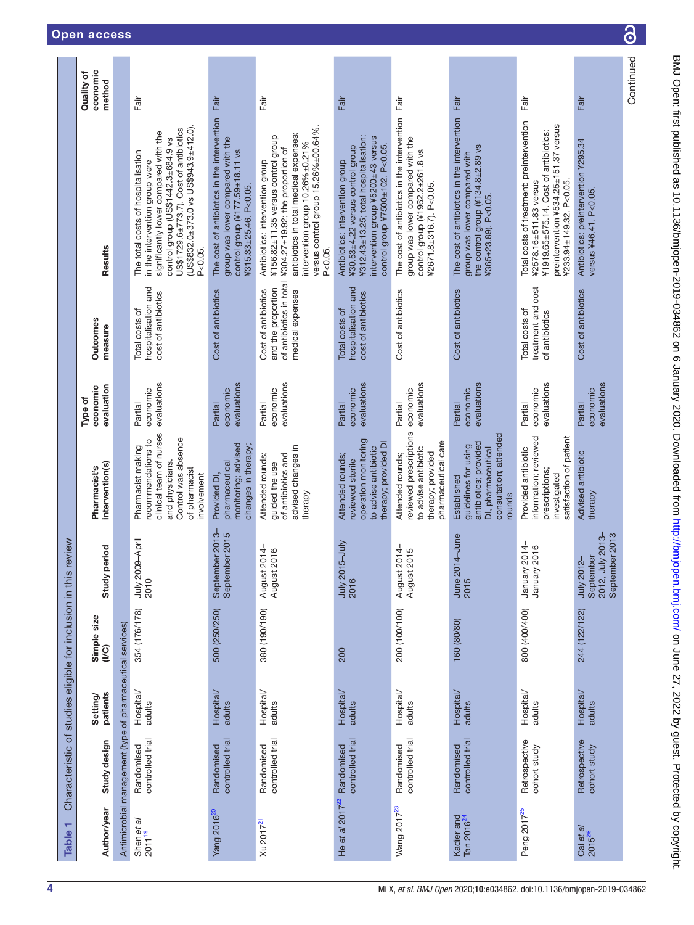<span id="page-3-0"></span>

|                                                                 | economic<br>Quality of<br>method             |                                                            |                                                                                                                                                                                                                                                      |                                                                                                                                                    |                                                                                                                                                                                                                                          |                                                                                                                                                                                        |                                                                                                                                                     |                                                                                                                                                |                                                                                                                                                                                  |                                                                     | Continued |
|-----------------------------------------------------------------|----------------------------------------------|------------------------------------------------------------|------------------------------------------------------------------------------------------------------------------------------------------------------------------------------------------------------------------------------------------------------|----------------------------------------------------------------------------------------------------------------------------------------------------|------------------------------------------------------------------------------------------------------------------------------------------------------------------------------------------------------------------------------------------|----------------------------------------------------------------------------------------------------------------------------------------------------------------------------------------|-----------------------------------------------------------------------------------------------------------------------------------------------------|------------------------------------------------------------------------------------------------------------------------------------------------|----------------------------------------------------------------------------------------------------------------------------------------------------------------------------------|---------------------------------------------------------------------|-----------|
|                                                                 |                                              |                                                            | Fair                                                                                                                                                                                                                                                 |                                                                                                                                                    | Fair                                                                                                                                                                                                                                     | Fair                                                                                                                                                                                   |                                                                                                                                                     |                                                                                                                                                | Fair                                                                                                                                                                             | Fair                                                                |           |
|                                                                 | Results                                      |                                                            | $($ US\$832.0±373.0 vs US\$943.9±412.0).<br>US\$1729.6±773.7). Cost of antibiotics<br>significantly lower compared with the<br>control group (US\$1442.3±684.9 vs<br>The total costs of hospitalisation<br>in the intervention group were<br>P<0.05. | The cost of antibiotics in the intervention Fair<br>group was lower compared with the<br>control group (¥177.59±18.11 vs<br>¥315.33±25.46. P<0.05. | versus control group 15.26%±00.64%.<br>antibiotics in total medical expenses:<br>¥156.82±11.35 versus control group<br>intervention group 10.26%±0.21%<br>¥304.27±19.92; the proportion of<br>Antibiotics: intervention group<br>P<0.05. | ¥312.43±13.25; total hospitalisation:<br>intervention group ¥5200±43 versus<br>control group ¥7500±102. P<0.05.<br>¥30.53±4.22 versus control group<br>Antibiotics: intervention group | The cost of antibiotics in the intervention Fair<br>group was lower compared with the<br>control group (¥1962.2±261.8 vs<br>¥2671.8±316.7). P<0.05. | The cost of antibiotics in the intervention Fair<br>the control group (¥134.8±2.89 vs<br>group was lower compared with<br>¥365±23.89). P<0.05. | Total costs of treatment: preintervention<br>preintervention ¥534.25±151.37 versus<br>¥1919.65±575.14. Cost of antibiotics:<br>¥233.94±149.32. P<0.05.<br>¥2578.16±511.83 versus | Antibiotics: preintervention ¥295.34<br>versus ¥46.41. P<0.05.      |           |
|                                                                 | Outcomes<br>measure                          |                                                            | hospitalisation and<br>cost of antibiotics<br>Total costs of                                                                                                                                                                                         | Cost of antibiotics                                                                                                                                | of antibiotics in total<br>and the proportion<br>Cost of antibiotics<br>medical expenses                                                                                                                                                 | hospitalisation and<br>cost of antibiotics<br>Total costs of                                                                                                                           | Cost of antibiotics                                                                                                                                 | Cost of antibiotics                                                                                                                            | treatment and cost<br>Total costs of<br>of antibiotics                                                                                                                           | Cost of antibiotics                                                 |           |
|                                                                 | evaluation<br>economic<br>$\mathsf{Type}$ of |                                                            | evaluations<br>economic<br>Partial                                                                                                                                                                                                                   | evaluations<br>economic<br>Partial                                                                                                                 | evaluations<br>economic<br>Partial                                                                                                                                                                                                       | evaluations<br>economic<br>Partial                                                                                                                                                     | evaluations<br>economic<br>Partial                                                                                                                  | evaluations<br>economic<br>Partial                                                                                                             | evaluations<br>economic<br>Partial                                                                                                                                               | evaluations<br>economic<br>Partial                                  |           |
|                                                                 | intervention(s)<br>Pharmacist's              |                                                            | clinical team of nurses<br>Control was absence<br>recommendations to<br>Pharmacist making<br>and physicians.<br>of pharmacist<br>involvement                                                                                                         | monitoring; advised<br>changes in therapy;<br>pharmaceutical<br>Provided DI,                                                                       | advised changes in<br>of antibiotics and<br>Attended rounds;<br>guided the use<br>therapy                                                                                                                                                | operation monitoring<br>therapy; provided DI<br>to advise antibiotic<br>Attended rounds;<br>reviewed sterile                                                                           | reviewed prescriptions<br>pharmaceutical care<br>to advise antibiotic<br>therapy; provided<br>Attended rounds;                                      | consultation; attended<br>antibiotics; provided<br>guidelines for using<br>DI, pharmaceutical<br>Established<br>rounds                         | information; reviewed<br>satisfaction of patient<br>Provided antibiotic<br>prescriptions;<br>investigated                                                                        | Advised antibiotic<br>therapy                                       |           |
|                                                                 | Study period                                 |                                                            | 2009-April<br>2010<br>yluly                                                                                                                                                                                                                          | September 2013-<br>September 2015                                                                                                                  | August 2014-<br>August 2016                                                                                                                                                                                                              | $2015 - July$<br>$\frac{3}{2}$<br>2016                                                                                                                                                 | August 2014-<br><b>ust 2015</b><br>Augu                                                                                                             | $2014 - J$ une<br><b>June</b><br>2015                                                                                                          | January 2014-<br>January 2016                                                                                                                                                    | September 2013<br>September<br>2012, July 2013-<br>$2012 -$<br>July |           |
| Characteristic of studies eligible for inclusion in this review | Simple size<br>(O)                           |                                                            | 354 (176/178)                                                                                                                                                                                                                                        | 500 (250/250)                                                                                                                                      | 380 (190/190)                                                                                                                                                                                                                            | 200                                                                                                                                                                                    | 200 (100/100)                                                                                                                                       | 160 (80/80)                                                                                                                                    | 800 (400/400)                                                                                                                                                                    | 244 (122/122)                                                       |           |
|                                                                 | patients<br>Setting/                         |                                                            | Hospital/<br>adults                                                                                                                                                                                                                                  | Hospital/<br>adults                                                                                                                                | Hospital/<br>adults                                                                                                                                                                                                                      | Hospital/<br>adults                                                                                                                                                                    | Hospital/<br>adults                                                                                                                                 | Hospital/<br>adults                                                                                                                            | Hospital/<br>adults                                                                                                                                                              | Hospital/<br>adults                                                 |           |
|                                                                 | Study design                                 | Antimicrobial management (type of pharmaceutical services) | controlled trial<br>Randomised                                                                                                                                                                                                                       | controlled trial<br>Randomised                                                                                                                     | controlled trial<br>Randomised                                                                                                                                                                                                           | controlled trial<br>Randomised                                                                                                                                                         | controlled trial<br>Randomised                                                                                                                      | controlled trial<br>Randomised                                                                                                                 | Retrospective<br>cohort study                                                                                                                                                    | Retrospective<br>cohort study                                       |           |
| Table <sub>1</sub>                                              | Author/year                                  |                                                            | Shen et al<br>2011 <sup>19</sup>                                                                                                                                                                                                                     | Yang 2016 <sup>20</sup>                                                                                                                            | Xu 2017 <sup>21</sup>                                                                                                                                                                                                                    | He et al 2017 <sup>22</sup>                                                                                                                                                            | Wang 2017 <sup>23</sup>                                                                                                                             | Kadier and<br>Tan 2016 <sup>24</sup>                                                                                                           | Peng 2017 <sup>25</sup>                                                                                                                                                          | Cai et al<br>2015 <sup>26</sup>                                     |           |

BMJ Open: first published as 10.1136/bmjopen-2019-034862 on 6 January 2020. Downloaded from <http://bmjopen.bmj.com/> an June 27, 2022 by guest. Protected by copyright.

BMJ Open: first published as 10.1136/bmjopen-2019-034862 on 6 January 2020. Downloaded from http://bmjopen.bmj.com/ on June 27, 2022 by guest. Protected by copyright.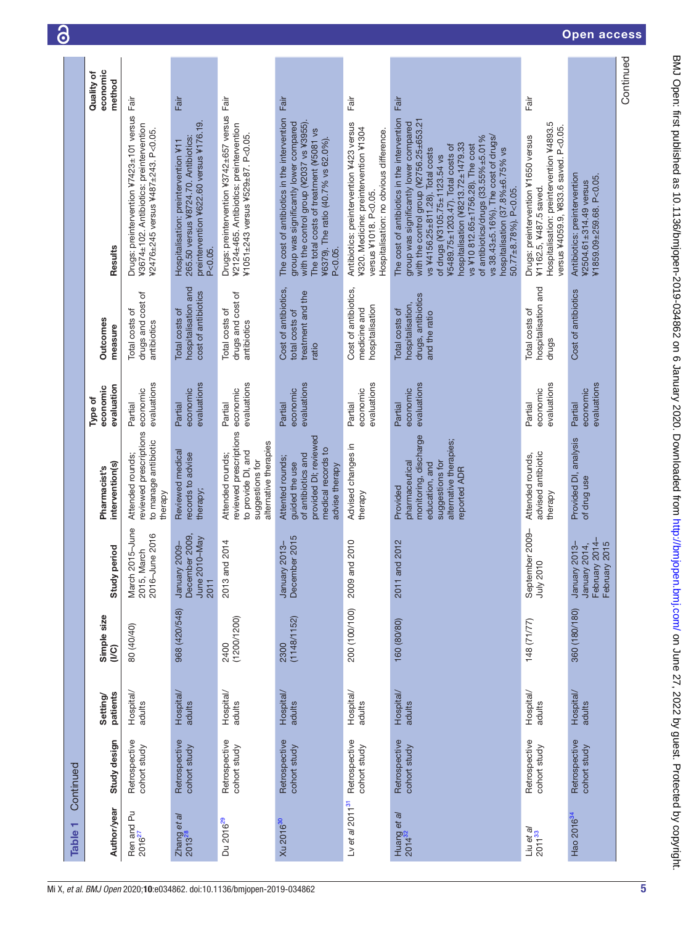|                   | economic<br>Quality of<br>method  |                                                                                                                               |                                                                                                                                    |                                                                                                                         |                                                                                                                                                                                                                               |                                                                                                                                                       |                                                                                                                                                                                                                                                                                                                                                                                                                                                              |                                                                                                                                                    | Continued                                                                          |
|-------------------|-----------------------------------|-------------------------------------------------------------------------------------------------------------------------------|------------------------------------------------------------------------------------------------------------------------------------|-------------------------------------------------------------------------------------------------------------------------|-------------------------------------------------------------------------------------------------------------------------------------------------------------------------------------------------------------------------------|-------------------------------------------------------------------------------------------------------------------------------------------------------|--------------------------------------------------------------------------------------------------------------------------------------------------------------------------------------------------------------------------------------------------------------------------------------------------------------------------------------------------------------------------------------------------------------------------------------------------------------|----------------------------------------------------------------------------------------------------------------------------------------------------|------------------------------------------------------------------------------------|
|                   |                                   |                                                                                                                               | Fair                                                                                                                               | Fair                                                                                                                    | Fair                                                                                                                                                                                                                          | in5⊒                                                                                                                                                  | Fair                                                                                                                                                                                                                                                                                                                                                                                                                                                         | Fair                                                                                                                                               |                                                                                    |
|                   | Results                           | Drugs: preintervention ¥7423±101 versus Fair<br>¥3674±102. Antibiotics: preintervention<br>¥2476±245 versus ¥487±243. P<0.05. | preintervention ¥622.60 versus ¥176.19.<br>265.50 versus ¥8724.70. Antibiotics:<br>Hospitalisation: preintervention ¥11<br>P<0.05. | Drugs: preintervention ¥3742±657 versus<br>¥2124±465. Antibiotics: preintervention<br>¥1051±243 versus ¥529±87. P<0.05. | The cost of antibiotics in the intervention<br>with the control group (¥2037 vs ¥3955).<br>group was significantly lower compared<br>The total costs of treatment (¥5081 vs<br>¥6379). The ratio (40.7% vs 62.0%).<br>P<0.05. | Antibiotics: preintervention ¥423 versus<br>¥320. Medicine: preintervention ¥1304<br>Hospitalisation: no obvious difference.<br>versus ¥1018. P<0.05. | The cost of antibiotics in the intervention<br>with the control group (¥2756.25±653.21<br>vs ¥4156.25±811.28). Total costs<br>group was significantly lower compared<br>vs 38.43±5.16%). The cost of drugs/<br>of antibiotics/drugs (33.55%±5.01%<br>hospitalisation (¥8213.72±1479.33<br>vs ¥10 812.65±1756.28). The cost<br>¥5489.75±1203.47). Total costs of<br>hospitalisation (37.8%±6.75% vs<br>of drugs (¥3105.75±1123.54 vs<br>50.77±8.78%). P<0.05. | Hospitalisation: preintervention ¥4893.5<br>versus ¥4059.9, ¥833.6 saved. P<0.05.<br>Drugs: preintervention ¥1650 versus<br>¥1162.5, ¥487.5 saved. | Antibiotics: preintervention<br>¥1859.09±259.68. P<0.05.<br>¥2504.61±314.49 versus |
|                   | Outcomes<br>measure               | drugs and cost of<br>Total costs of<br>antibiotics                                                                            | hospitalisation and<br>cost of antibiotics<br>Total costs of                                                                       | drugs and cost of<br>Total costs of<br>antibiotics                                                                      | Cost of antibiotics,<br>treatment and the<br>total costs of<br>ratio                                                                                                                                                          | Cost of antibiotics,<br>hospitalisation<br>medicine and                                                                                               | drugs, antibiotics<br>hospitalisation,<br>Total costs of<br>and the ratio                                                                                                                                                                                                                                                                                                                                                                                    | hospitalisation and<br>Total costs of<br>drugs                                                                                                     | Cost of antibiotics                                                                |
|                   | evaluation<br>economic<br>Type of | evaluations<br>economic<br>Partial                                                                                            | evaluations<br>economic<br>Partial                                                                                                 | evaluations<br>economic<br>Partial                                                                                      | evaluations<br>economic<br>Partial                                                                                                                                                                                            | evaluations<br>economic<br>Partial                                                                                                                    | evaluations<br>economic<br>Partial                                                                                                                                                                                                                                                                                                                                                                                                                           | evaluations<br>economic<br>Partial                                                                                                                 | evaluations<br>economic<br>Partial                                                 |
|                   | intervention(s)<br>Pharmacist's   | reviewed prescriptions<br>to manage antibiotic<br>Attended rounds;<br>therapy                                                 | Reviewed medical<br>records to advise<br>therapy;                                                                                  | reviewed prescriptions<br>alternative therapies<br>to provide DI, and<br>Attended rounds;<br>suggestions for            | provided DI; reviewed<br>medical records to<br>of antibiotics and<br>Attented rounds;<br>guided the use<br>advise therapy                                                                                                     | Advised changes in<br>therapy                                                                                                                         | monitoring, discharge<br>alternative therapies;<br>suggestions for<br>pharmaceutical<br>education, and<br>reported ADR<br>Provided                                                                                                                                                                                                                                                                                                                           | advised antibiotic<br>Attended rounds,<br>therapy                                                                                                  | Provided DI, analysis<br>of drug use                                               |
|                   | period<br>Study                   | $2015 - June$<br>June 2016<br>March<br>March<br>2015, N<br>2016-J                                                             | December 2009,<br>June 2010-May<br>January 2009-<br>2011                                                                           | Ind 2014<br>2013a                                                                                                       | January 2013-<br>December 2015                                                                                                                                                                                                | 2009 and 2010                                                                                                                                         | 2011 and 2012                                                                                                                                                                                                                                                                                                                                                                                                                                                | September 2009–<br>July 2010                                                                                                                       | January 2014,<br>February 2014–<br>February 2015<br>January 2013-                  |
|                   | Simple size<br>(O)                | 80 (40/40)                                                                                                                    | 968 (420/548)                                                                                                                      | (1200/1200)<br>2400                                                                                                     | (1148/1152)<br>2300                                                                                                                                                                                                           | 200 (100/100)                                                                                                                                         | 160 (80/80)                                                                                                                                                                                                                                                                                                                                                                                                                                                  | 148 (71/77)                                                                                                                                        | 360 (180/180)                                                                      |
|                   | patients<br>Setting/              | Hospital/<br>adults                                                                                                           | Hospital/<br>adults                                                                                                                | Hospital/<br>adults                                                                                                     | Hospital/<br>adults                                                                                                                                                                                                           | Hospital/<br>adults                                                                                                                                   | Hospital/<br>adults                                                                                                                                                                                                                                                                                                                                                                                                                                          | Hospital/<br>adults                                                                                                                                | Hospital<br>adults                                                                 |
| Continued         | Study design                      | Retrospective<br>cohort study                                                                                                 | Retrospective<br>cohort study                                                                                                      | Retrospective<br>cohort study                                                                                           | Retrospective<br>cohort study                                                                                                                                                                                                 | Retrospective<br>cohort study                                                                                                                         | Retrospective<br>cohort study                                                                                                                                                                                                                                                                                                                                                                                                                                | Retrospective<br>cohort study                                                                                                                      | Retrospective<br>cohort study                                                      |
| ٣<br><b>Table</b> | Author/year                       | Ren and Pu<br>2016 <sup>27</sup>                                                                                              | Zhang et al<br>2013 <sup>28</sup>                                                                                                  | Du 2016 <sup>29</sup>                                                                                                   | Xu 2016 <sup>30</sup>                                                                                                                                                                                                         | Lv et al 2011 $31$                                                                                                                                    | Huang et al<br>2014 <sup>32</sup>                                                                                                                                                                                                                                                                                                                                                                                                                            | Liu et al<br>$2011^{33}$                                                                                                                           | Hao 2016 <sup>34</sup>                                                             |

ි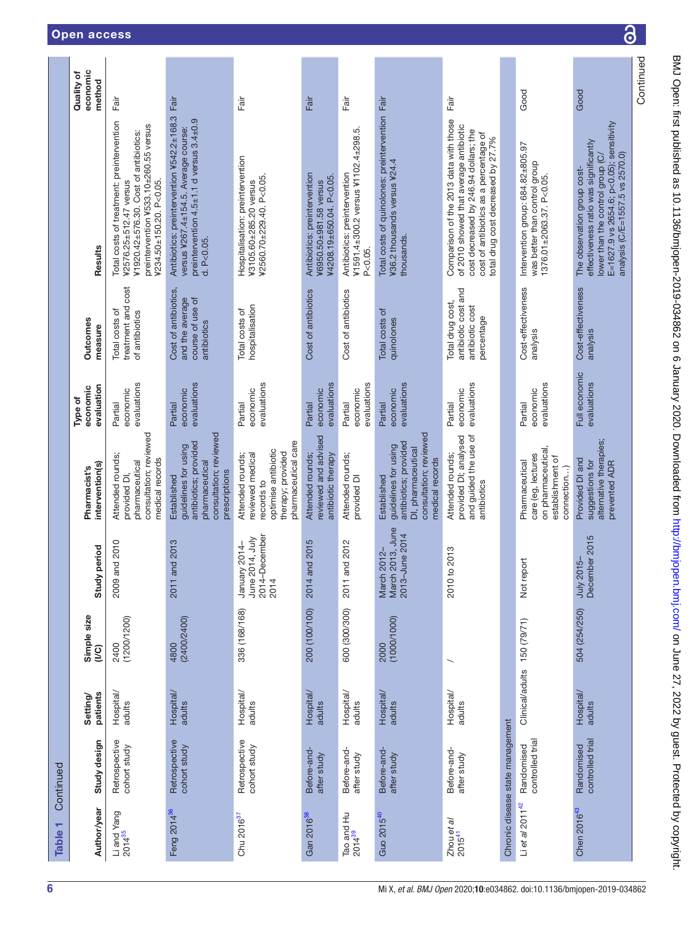|           | economic<br>Quality of<br>method  |                                                                                                                                                                                          |                                                                                                                                                       |                                                                                                                       |                                                                                            |                                                                                                     |                                                                                                                                 |                                                                                                                                                                                                                   |                                  | Good                                                                                           | Good                                                                                                                                                                                    | Continued |
|-----------|-----------------------------------|------------------------------------------------------------------------------------------------------------------------------------------------------------------------------------------|-------------------------------------------------------------------------------------------------------------------------------------------------------|-----------------------------------------------------------------------------------------------------------------------|--------------------------------------------------------------------------------------------|-----------------------------------------------------------------------------------------------------|---------------------------------------------------------------------------------------------------------------------------------|-------------------------------------------------------------------------------------------------------------------------------------------------------------------------------------------------------------------|----------------------------------|------------------------------------------------------------------------------------------------|-----------------------------------------------------------------------------------------------------------------------------------------------------------------------------------------|-----------|
|           | Results                           | Fair<br>Total costs of treatment: preintervention<br>preintervention ¥533.10±260.55 versus<br>¥1920.42±576.30. Cost of antibiotics:<br>¥234.50±150.20. P<0.05.<br>¥2576.25±512.47 versus | Fair<br>Antibiotics: preintervention ¥542.2±168.3<br>versus ¥267.4±154.5. Average course:<br>preintervention 4.5±1.1 d versus 3.4±0.9<br>d. P < 0.05. | Fair<br>Hospitalisation: preintervention<br>¥2560.70±229.40. P<0.05.<br>¥3105.60±285.20 versus                        | Fair<br>Antibiotics: preintervention<br>¥4208.19±650.04. P<0.05.<br>¥6950.50±981.58 versus | Fair<br>$*1591.4 \pm 300.2$ versus $*1102.4 \pm 298.5$ .<br>Antibiotics: preintervention<br>P<0.05. | Total costs of quinolones: preintervention Fair<br>¥36.2 thousands versus ¥24.4<br>thousands.                                   | Fair<br>Comparison of the 2013 data with those<br>of 2010 showed that average antibiotic<br>cost decreased by 246.94 dollars; the<br>cost of antibiotics as a percentage of<br>total drug cost decreased by 27.7% |                                  | Intervention group: 684.82±805.97<br>was better than control group<br>1376.01±2063.37. P<0.05. | E=1627.9 vs 2654.6; p<0.05); sensitivity<br>effectiveness ratio was significantly<br>lower than the control group (C/<br>analysis (C/E=1557.5 vs 2570.0)<br>The observation group cost- |           |
|           | Outcomes<br>measure               | treatment and cost<br>Total costs of<br>of antibiotics                                                                                                                                   | Cost of antibiotics,<br>and the average<br>course of use of<br>antibiotics                                                                            | hospitalisation<br>Total costs of                                                                                     | Cost of antibiotics                                                                        | Cost of antibiotics                                                                                 | Total costs of<br>quinolones                                                                                                    | antibiotic cost and<br>Total drug cost,<br>antibiotic cost<br>percentage                                                                                                                                          |                                  | Cost-effectiveness<br>analysis                                                                 | Cost-effectiveness<br>analysis                                                                                                                                                          |           |
|           | evaluation<br>economic<br>Type of | evaluations<br>economic<br>Partial                                                                                                                                                       | evaluations<br>economic<br>Partial                                                                                                                    | evaluations<br>economic<br>Partial                                                                                    | evaluations<br>economic<br>Partial                                                         | evaluations<br>economic<br>Partial                                                                  | evaluations<br>economic<br>Partial                                                                                              | evaluations<br>economic<br>Partial                                                                                                                                                                                |                                  | evaluations<br>economic<br>Partial                                                             | Full economic<br>evaluations                                                                                                                                                            |           |
|           | intervention(s)<br>Pharmacist's   | consultation; reviewed<br>Attended rounds;<br>medical records<br>pharmaceutical<br>provided DI                                                                                           | consultation; reviewed<br>antibiotics; provided<br>guidelines for using<br>pharmaceutical<br>prescriptions<br>Established                             | pharmaceutical care<br>optimise antibiotic<br>therapy; provided<br>reviewed medical<br>Attended rounds;<br>records to | reviewed and advised<br>Attended rounds;<br>antibiotic therapy                             | Attended rounds;<br>provided DI                                                                     | consultation; reviewed<br>antibiotics; provided<br>guidelines for using<br>DI, pharmaceutical<br>medical records<br>Established | and guided the use of<br>provided DI; analysed<br>Attended rounds;<br>antibiotics                                                                                                                                 |                                  | on pharmaceutical,<br>care (eg, lectures<br>establishment of<br>Pharmaceutical<br>connection)  | alternative therapies;<br>Provided DI and<br>suggestions for<br>prevented ADR                                                                                                           |           |
|           | period<br>Study                   | and 2010<br>2009                                                                                                                                                                         | and 2013<br>2011                                                                                                                                      | 2014–December<br>2014<br>June 2014, July<br>January 2014-                                                             | and 2015<br>2014                                                                           | and 2012<br>2011                                                                                    | March 2013, June<br>2013–June 2014<br>March 2012-                                                                               | $to$ 2013<br>2010                                                                                                                                                                                                 |                                  | Not report                                                                                     | December 2015<br>July 2015-                                                                                                                                                             |           |
|           | Simple size<br>(1)                | 2400<br>(1200/1200)                                                                                                                                                                      | (2400/2400)<br>4800                                                                                                                                   | 336 (168/168)                                                                                                         | 200 (100/100)                                                                              | 600 (300/300)                                                                                       | (1000/1000)<br>2000                                                                                                             |                                                                                                                                                                                                                   |                                  |                                                                                                | 504 (254/250)                                                                                                                                                                           |           |
|           | patients<br>Setting/              | Hospital/<br>adults                                                                                                                                                                      | Hospital/<br>adults                                                                                                                                   | Hospital/<br>adults                                                                                                   | Hospital/<br>adults                                                                        | Hospital/<br>adults                                                                                 | Hospital/<br>adults                                                                                                             | Hospital/<br>adults                                                                                                                                                                                               |                                  | Clinical/adults 150 (79/71)                                                                    | Hospital/<br>adults                                                                                                                                                                     |           |
| Continued | Study design                      | Retrospective<br>cohort study                                                                                                                                                            | Retrospective<br>cohort study                                                                                                                         | Retrospective<br>cohort study                                                                                         | Before-and-<br>after study                                                                 | Before-and-<br>after study                                                                          | Before-and-<br>after study                                                                                                      | Before-and-<br>after study                                                                                                                                                                                        | Chronic disease state management | controlled trial<br>Randomised                                                                 | controlled trial<br>Randomised                                                                                                                                                          |           |
| Table 1   | Author/year                       | Li and Yang<br>2014 <sup>35</sup>                                                                                                                                                        | Feng 2014 <sup>36</sup>                                                                                                                               | Chu 2016 <sup>37</sup>                                                                                                | Gan 2016 <sup>38</sup>                                                                     | Tao and Hu<br>$2014^{39}$                                                                           | Guo 2015 <sup>40</sup>                                                                                                          | Zhou et al<br>2015 <sup>41</sup>                                                                                                                                                                                  |                                  | $Li$ et al 2011 <sup>42</sup>                                                                  | Chen 2016 <sup>43</sup>                                                                                                                                                                 |           |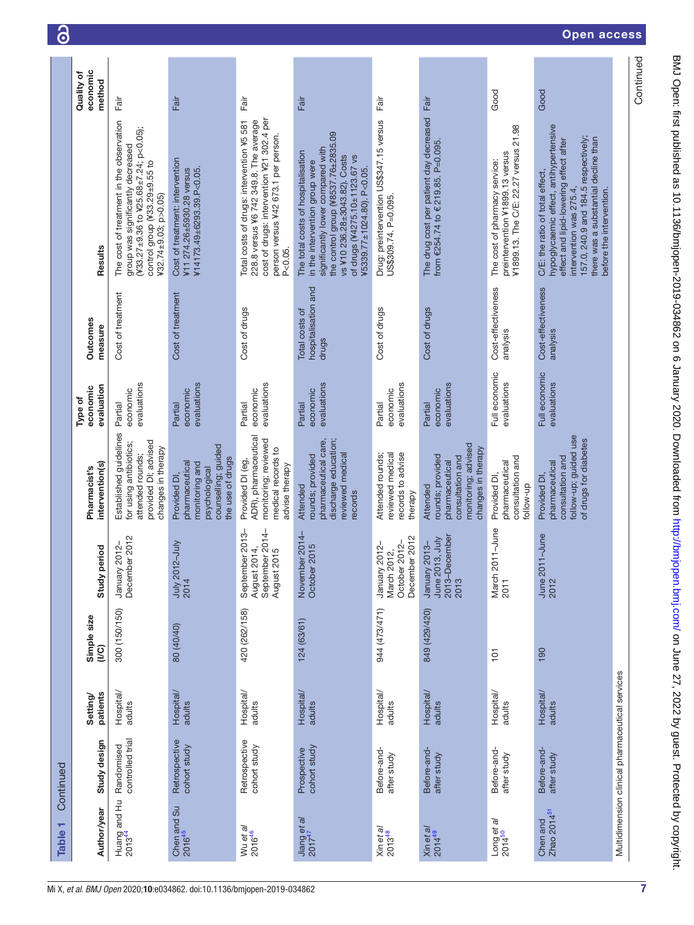| ٣<br><b>Table</b>                   | Continued                                       |                      |                               |                                                                   |                                                                                                                    |                                    |                                                |                                                                                                                                                                                                                                                            |                                  |
|-------------------------------------|-------------------------------------------------|----------------------|-------------------------------|-------------------------------------------------------------------|--------------------------------------------------------------------------------------------------------------------|------------------------------------|------------------------------------------------|------------------------------------------------------------------------------------------------------------------------------------------------------------------------------------------------------------------------------------------------------------|----------------------------------|
| Author/year                         | Study design                                    | patients<br>Setting/ | Simple size<br>$\overline{a}$ | period<br>Study                                                   | intervention(s)<br>Pharmacist's                                                                                    | evaluation<br>economic<br>Type of  | Outcomes<br>measure                            | Results                                                                                                                                                                                                                                                    | economic<br>Quality of<br>method |
| Huang and Hu<br>2013 <sup>44</sup>  | controlled trial<br>Randomised                  | Hospital/<br>adults  | 300 (150/150)                 | December 2012<br>January 2012-                                    | Established guidelines<br>provided DI; advised<br>for using antibiotics;<br>changes in therapy<br>attended rounds; | evaluations<br>economic<br>Partial | Cost of treatment                              | The cost of treatment in the observation<br>(¥33.27±9.36 to ¥25.68±7.24; p<0.05);<br>group was significantly decreased<br>control group (¥33.29±9.55 to<br>¥32.74±9.03; p>0.05)                                                                            | Fair                             |
| Chen and Su<br>2016 <sup>45</sup>   | Retrospective<br>cohort study                   | Hospital/<br>adults  | 80 (40/40)                    | July 2012-July<br>2014                                            | counselling; guided<br>the use of drugs<br>pharmaceutical<br>monitoring and<br>psychological<br>Provided DI,       | evaluations<br>economic<br>Partial | Cost of treatment                              | Cost of treatment: intervention<br>¥11 274.26±5930.28 versus<br>¥14173.49±6293.39.P<0.05.                                                                                                                                                                  | Fair                             |
| Wu et al<br>2016 <sup>46</sup>      | Retrospective<br>cohort study                   | Hospital/<br>adults  | 420 (262/158)                 | September 2014-<br>September 2013-<br>August 2014,<br>August 2015 | ADR), pharmaceutical<br>monitoring; reviewed<br>medical records to<br>Provided DI (eg,<br>advise therapy           | evaluations<br>economic<br>Partial | Cost of drugs                                  | cost of drugs: intervention ¥21 302.4 per<br>228.8 versus ¥6 742 349.8. The average<br>Total costs of drugs: intervention ¥5 581<br>person versus ¥42 673.1 per person.<br>P<0.05.                                                                         | Fair                             |
| Jiang et al<br>$2017^{47}$          | cohort study<br>Prospective                     | Hospital/<br>adults  | 124 (63/61)                   | November 2014-<br>October 2015                                    | pharmaceutical care,<br>discharge education;<br>reviewed medical<br>rounds; provided<br>Attended<br>ecords         | evaluations<br>economic<br>Partial | hospitalisation and<br>Total costs of<br>drugs | the control group (¥8537.76±2835.09<br>significantly lower compared with<br>The total costs of hospitalisation<br>vs ¥10 236.28±3043.82). Costs<br>of drugs (¥4275.10±1123.67 vs<br>in the intervention group were<br>¥5339.77±1024.80). P<0.05.           | Fair                             |
| Xin et al<br>2013 <sup>48</sup>     | Before-and-<br>after study                      | Hospital/<br>adults  | 944 (473/471)                 | December 2012<br>October 2012-<br>January 2012-<br>March 2012,    | reviewed medical<br>Attended rounds;<br>records to advise<br>therapy                                               | evaluations<br>economic<br>Partial | Cost of drugs                                  | Drug: preintervention US\$347.15 versus<br>US\$309.74. P=0.095.                                                                                                                                                                                            | Fair                             |
| Xin et al<br>2014 <sup>49</sup>     | Before-and-<br>after study                      | Hospital/<br>adults  | 849 (429/420)                 | 2013-December<br>June 2013, July<br>January 2013-<br>2013         | monitoring; advised<br>changes in therapy<br>rounds; provided<br>consultation and<br>pharmaceutical<br>Attended    | evaluations<br>economic<br>Partial | Cost of drugs                                  | The drug cost per patient day decreased Fair<br>from €254.74 to € 219.85. P=0.095.                                                                                                                                                                         |                                  |
| Long et al $2014^{50}$              | Before-and-<br>after study                      | Hospital/<br>adults  | $\overline{0}$                | 2011-June<br>March<br>2011                                        | consultation and<br>pharmaceutical<br>Provided DI,<br>dn-wolloy                                                    | Full economic<br>evaluations       | Cost-effectiveness<br>analysis                 | ¥1899.13. The C/E: 22.27 versus 21.98<br>preintervention ¥1899.13 versus<br>The cost of pharmacy service:                                                                                                                                                  | Good                             |
| Chen and<br>Zhao 2014 <sup>51</sup> | Before-and-<br>after study                      | Hospital/<br>adults  | 190                           | June 2011-June<br>2012                                            | follow-up; guided use<br>of drugs for diabetes<br>consultation and<br>pharmaceutical<br>Provided DI,               | Full economic<br>evaluations       | Cost-effectiveness<br>analysis                 | hypoglycaemic effect, antihypertensive<br>157.0, 240.9 and 184.5 respectively;<br>there was a substantial decline than<br>effect and lipid-lowering effect after<br>C/E: the ratio of total effect,<br>before the intervention.<br>intervention was 275.4, | Good                             |
|                                     | Multidimension clinical pharmaceutical services |                      |                               |                                                                   |                                                                                                                    |                                    |                                                |                                                                                                                                                                                                                                                            | Continued                        |

6

BMJ Open: first published as 10.1136/bmjopen-2019-034862 on 6 January 2020. Downloaded from <http://bmjopen.bmj.com/> an June 27, 2022 by guest. Protected by copyright.

BMJ Open: first published as 10.1136/bmjopen-2019-034862 on 6 January 2020. Downloaded from http://bmjopen.bmj.com/ on June 27, 2022 by guest. Protected by copyright.

Open access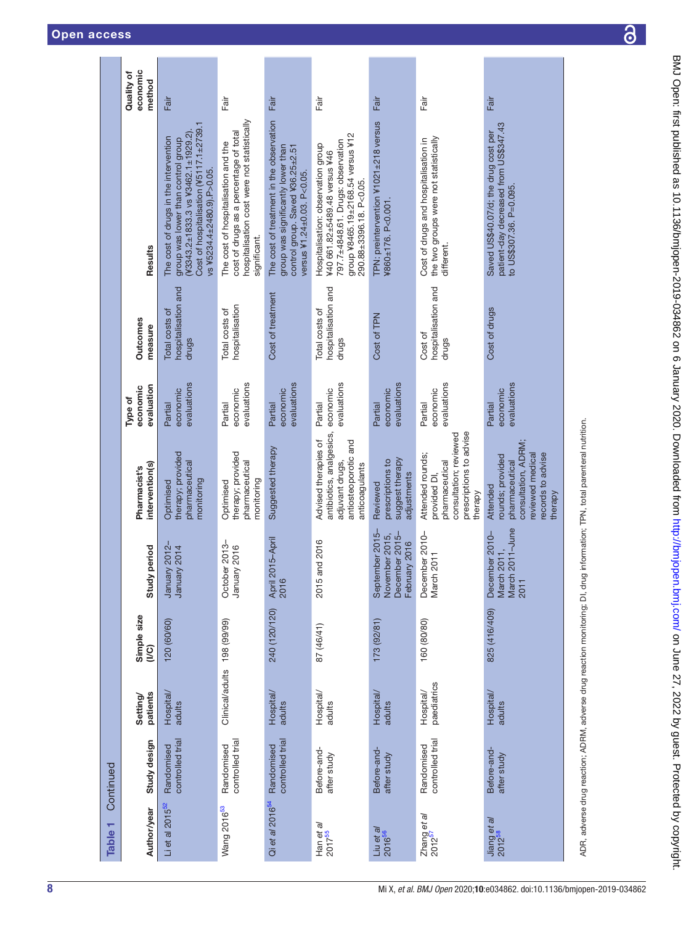|                    | economic<br>Quality of<br>method  | Fair                                                                                                                                                                                                 | Fair                                                                                                                                         | Fair                                                                                                                                             | Fair                                                                                                                                                                     | Fair                                                                 | Fair                                                                                                               | Fair                                                                                                                      |                                                                                                                            |
|--------------------|-----------------------------------|------------------------------------------------------------------------------------------------------------------------------------------------------------------------------------------------------|----------------------------------------------------------------------------------------------------------------------------------------------|--------------------------------------------------------------------------------------------------------------------------------------------------|--------------------------------------------------------------------------------------------------------------------------------------------------------------------------|----------------------------------------------------------------------|--------------------------------------------------------------------------------------------------------------------|---------------------------------------------------------------------------------------------------------------------------|----------------------------------------------------------------------------------------------------------------------------|
|                    | Results                           | Cost of hospitalisation (¥5117.1±2739.1<br>$43343.2 \pm 1833.3$ vs $43462.1 \pm 1929.2$<br>The cost of drugs in the intervention<br>group was lower than control group<br>vs ¥5234.4±2480.9).P>0.05. | hospitalisation cost were not statistically<br>cost of drugs as a percentage of total<br>The cost of hospitalisation and the<br>significant. | The cost of treatment in the observation<br>group was significantly lower than<br>control group. Saved ¥36.25±2.51<br>versus ¥1.24±0.03. P<0.05. | group ¥8465.19±2168.54 versus ¥12<br>797.7±4848.61. Drugs: observation<br>Hospitalisation: observation group<br>440 661.82±5489.48 versus ¥46<br>290.88±3396.18. P<0.05. | TPN: preintervention ¥1021±218 versus<br>¥860±176. P<0.001.          | the two groups were not statistically<br>Cost of drugs and hospitalisation in<br>different.                        | patient-day decreased from US\$347.43<br>Saved US\$40.07/d; the drug cost per<br>to US\$307.36. P=0.095.                  |                                                                                                                            |
|                    | <b>Outcomes</b><br>measure        | hospitalisation and<br>Total costs of<br>drugs                                                                                                                                                       | hospitalisation<br>Total costs of                                                                                                            | Cost of treatment                                                                                                                                | hospitalisation and<br>Total costs of<br>drugs                                                                                                                           | Cost of TPN                                                          | hospitalisation and<br>Cost of<br>drugs                                                                            | Cost of drugs                                                                                                             |                                                                                                                            |
|                    | evaluation<br>economic<br>Type of | evaluations<br>economic<br>Partial                                                                                                                                                                   | evaluations<br>economic<br>Partial                                                                                                           | evaluations<br>economic<br>Partial                                                                                                               | evaluations<br>economic<br>Partial                                                                                                                                       | evaluations<br>economic<br>Partial                                   | evaluations<br>economic<br>Partial                                                                                 | evaluations<br>economic<br>Partial                                                                                        |                                                                                                                            |
|                    | intervention(s)<br>Pharmacist's   | therapy; provided<br>pharmaceutical<br>monitoring<br>Optimised                                                                                                                                       | therapy; provided<br>pharmaceutical<br>monitoring<br>Optimised                                                                               | Suggested therapy                                                                                                                                | antibiotics, analgesics,<br>Advised therapies of<br>antiosteoporotic and<br>adjuvant drugs,<br>anticoagulants                                                            | suggest therapy<br>prescriptions to<br>adjustments<br>Reviewed       | prescriptions to advise<br>consultation; reviewed<br>Attended rounds;<br>pharmaceutical<br>provided DI,<br>therapy | consultation, ADRM;<br>records to advise<br>reviewed medical<br>rounds; provided<br>pharmaceutical<br>Attended<br>therapy | ADR, adverse drug reaction; ADRM, adverse drug reaction monitoring; DI, drug information; TPN, total parenteral nutrition. |
|                    | Study period                      | January 2012-<br>January 2014                                                                                                                                                                        | October 2013-<br>January 2016                                                                                                                | 2015-April<br>April<br>2016                                                                                                                      | 2015 and 2016                                                                                                                                                            | September 2015-<br>December 2015-<br>November 2015,<br>February 2016 | December 2010-<br>March 2011                                                                                       | March 2011-June<br>December 2010-<br>March 2011,<br>2011                                                                  |                                                                                                                            |
|                    | Simple size<br>(1/C)              | 120 (60/60)                                                                                                                                                                                          |                                                                                                                                              | 240 (120/120)                                                                                                                                    | 87 (46/41)                                                                                                                                                               | 173 (92/81)                                                          | 160 (80/80)                                                                                                        | 825 (416/409)                                                                                                             |                                                                                                                            |
|                    | patients<br><b>Setting/</b>       | Hospital/<br>adults                                                                                                                                                                                  | Clinical/adults 198 (99/99)                                                                                                                  | Hospital/<br>adults                                                                                                                              | Hospital/<br>adults                                                                                                                                                      | Hospital/<br>adults                                                  | paediatrics<br>Hospital/                                                                                           | Hospital/<br>adults                                                                                                       |                                                                                                                            |
| Continued          | Study design                      | controlled trial<br>Randomised                                                                                                                                                                       | controlled trial<br>Randomised                                                                                                               | controlled trial<br>Randomised                                                                                                                   | Before-and-<br>after study                                                                                                                                               | Before-and-<br>after study                                           | controlled trial<br>Randomised                                                                                     | Before-and-<br>after study                                                                                                |                                                                                                                            |
| Table <sub>1</sub> | Author/year                       | Li et al 2015 $^{52}$                                                                                                                                                                                | Wang 2016 <sup>53</sup>                                                                                                                      | Qi et al 2016 $^{\rm 54}$                                                                                                                        | Han et al<br>2017 <sup>55</sup>                                                                                                                                          | Liu et al<br>2016 <sup>56</sup>                                      | Zhang et al<br>2012 <sup>57</sup>                                                                                  | Jiang et al<br>2012 <sup>58</sup>                                                                                         |                                                                                                                            |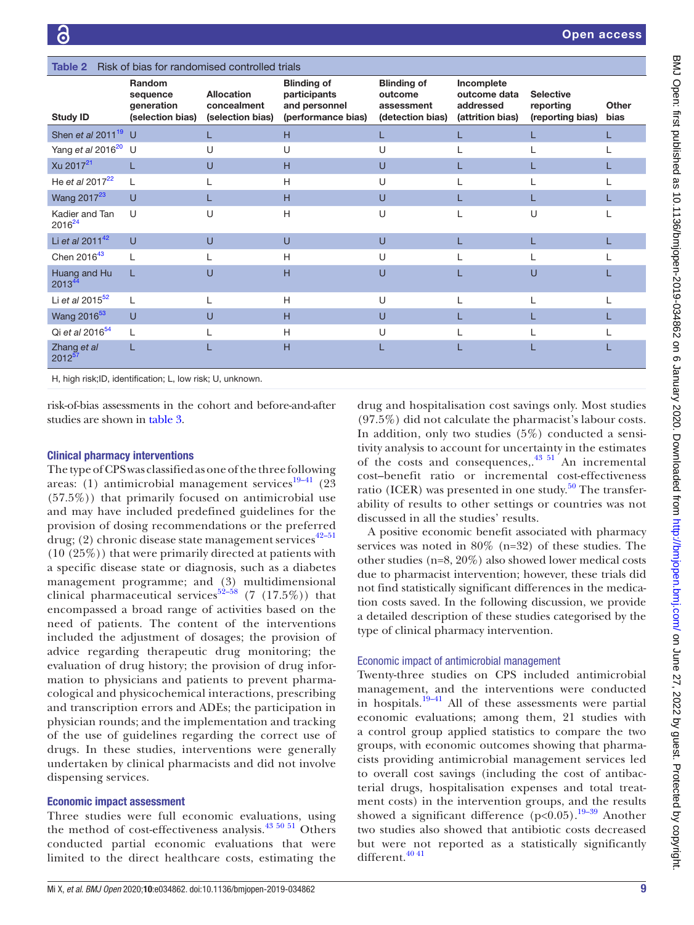<span id="page-8-0"></span>

| Table 2                              |                                                      | Risk of bias for randomised controlled trials        |                                                                           |                                                                 |                                                             |                                                   |               |
|--------------------------------------|------------------------------------------------------|------------------------------------------------------|---------------------------------------------------------------------------|-----------------------------------------------------------------|-------------------------------------------------------------|---------------------------------------------------|---------------|
| <b>Study ID</b>                      | Random<br>sequence<br>generation<br>(selection bias) | <b>Allocation</b><br>concealment<br>(selection bias) | <b>Blinding of</b><br>participants<br>and personnel<br>(performance bias) | <b>Blinding of</b><br>outcome<br>assessment<br>(detection bias) | Incomplete<br>outcome data<br>addressed<br>(attrition bias) | <b>Selective</b><br>reporting<br>(reporting bias) | Other<br>bias |
| Shen et al $2011^{19}$ U             |                                                      |                                                      | H                                                                         |                                                                 |                                                             |                                                   |               |
| Yang et al 2016 <sup>20</sup> U      |                                                      | U                                                    | U                                                                         | U                                                               |                                                             |                                                   |               |
| Xu 2017 <sup>21</sup>                | L                                                    | U                                                    | H                                                                         | U                                                               |                                                             |                                                   |               |
| He et al $2017^{22}$                 | L                                                    |                                                      | H                                                                         | U                                                               |                                                             |                                                   |               |
| Wang 2017 <sup>23</sup>              | $\cup$                                               |                                                      | H                                                                         | $\cup$                                                          |                                                             |                                                   |               |
| Kadier and Tan<br>2016 <sup>24</sup> | U                                                    | U                                                    | H                                                                         | U                                                               |                                                             | U                                                 |               |
| Li et al $2011^{42}$                 | $\cup$                                               | $\cup$                                               | $\cup$                                                                    | $\cup$                                                          |                                                             |                                                   |               |
| Chen 2016 <sup>43</sup>              |                                                      |                                                      | H                                                                         | U                                                               |                                                             |                                                   |               |
| Huang and Hu<br>$2013^{44}$          | L                                                    | $\cup$                                               | H                                                                         | U                                                               |                                                             | U                                                 |               |
| Li et al $2015^{52}$                 | L                                                    |                                                      | H                                                                         | U                                                               |                                                             |                                                   |               |
| Wang 2016 <sup>53</sup>              | $\cup$                                               | $\cup$                                               | H                                                                         | U                                                               |                                                             |                                                   |               |
| Qi et al 2016 <sup>54</sup>          |                                                      |                                                      | H                                                                         | U                                                               |                                                             |                                                   |               |
| Zhang et al<br>2012 <sup>57</sup>    |                                                      |                                                      | H                                                                         |                                                                 |                                                             |                                                   |               |

H, high risk;ID, identification; L, low risk; U, unknown.

risk-of-bias assessments in the cohort and before-and-after studies are shown in [table](#page-9-0) 3.

#### Clinical pharmacy interventions

The type of CPS was classified as one of the three following areas: (1) antimicrobial management services $19-41$  (23) (57.5%)) that primarily focused on antimicrobial use and may have included predefined guidelines for the provision of dosing recommendations or the preferred drug; (2) chronic disease state management services $42-51$  $(10 (25\%)$ ) that were primarily directed at patients with a specific disease state or diagnosis, such as a diabetes management programme; and (3) multidimensional clinical pharmaceutical services<sup>[52–58](#page-12-25)</sup> (7 (17.5%)) that encompassed a broad range of activities based on the need of patients. The content of the interventions included the adjustment of dosages; the provision of advice regarding therapeutic drug monitoring; the evaluation of drug history; the provision of drug information to physicians and patients to prevent pharmacological and physicochemical interactions, prescribing and transcription errors and ADEs; the participation in physician rounds; and the implementation and tracking of the use of guidelines regarding the correct use of drugs. In these studies, interventions were generally undertaken by clinical pharmacists and did not involve dispensing services.

#### Economic impact assessment

Three studies were full economic evaluations, using the method of cost-effectiveness analysis.<sup>43 50 51</sup> Others conducted partial economic evaluations that were limited to the direct healthcare costs, estimating the

drug and hospitalisation cost savings only. Most studies (97.5%) did not calculate the pharmacist's labour costs. In addition, only two studies (5%) conducted a sensitivity analysis to account for uncertainty in the estimates of the costs and consequences,. $^{43}$  51<sup>2</sup> An incremental cost–benefit ratio or incremental cost-effectiveness ratio (ICER) was presented in one study.<sup>50</sup> The transferability of results to other settings or countries was not discussed in all the studies' results.

A positive economic benefit associated with pharmacy services was noted in 80% (n=32) of these studies. The other studies (n=8, 20%) also showed lower medical costs due to pharmacist intervention; however, these trials did not find statistically significant differences in the medication costs saved. In the following discussion, we provide a detailed description of these studies categorised by the type of clinical pharmacy intervention.

#### Economic impact of antimicrobial management

Twenty-three studies on CPS included antimicrobial management, and the interventions were conducted in hospitals.<sup>19–41</sup> All of these assessments were partial economic evaluations; among them, 21 studies with a control group applied statistics to compare the two groups, with economic outcomes showing that pharmacists providing antimicrobial management services led to overall cost savings (including the cost of antibacterial drugs, hospitalisation expenses and total treatment costs) in the intervention groups, and the results showed a significant difference  $(p<0.05)$ .<sup>19-39</sup> Another two studies also showed that antibiotic costs decreased but were not reported as a statistically significantly different.<sup>[40 41](#page-12-13)</sup>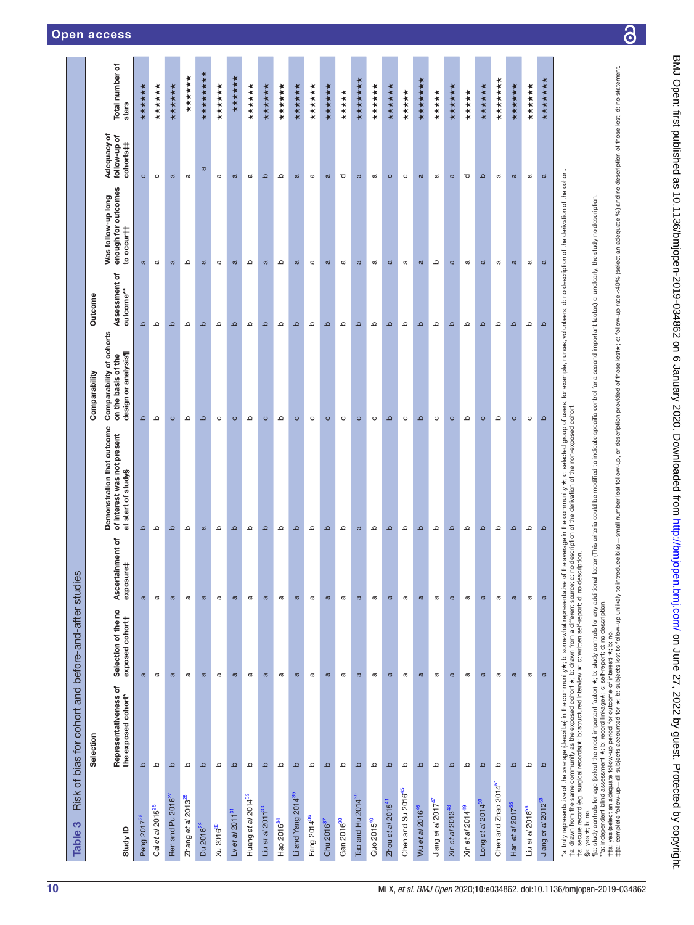| Table 3                          | Risk of bias for cohort and before-and-after stud         |                                       | ies                           |                                                                                                                                                                                                                                |                                                                                        |                                       |                                                        |                                         |                          |
|----------------------------------|-----------------------------------------------------------|---------------------------------------|-------------------------------|--------------------------------------------------------------------------------------------------------------------------------------------------------------------------------------------------------------------------------|----------------------------------------------------------------------------------------|---------------------------------------|--------------------------------------------------------|-----------------------------------------|--------------------------|
| Study ID                         | Representativeness of<br>the exposed cohort*<br>Selection | Selection of the no<br>exposed cohort | Ascertainment of<br>exposure‡ | Demonstration that outcome<br>of interest was not present<br>at start of study§                                                                                                                                                | Comparability of cohorts<br>design or analysis<br>on the basis of the<br>Comparability | Assessment of<br>outcome**<br>Outcome | enough for outcomes<br>Was follow-up long<br>to occur† | Adequacy of<br>follow-up of<br>cohorts# | Total number of<br>stars |
| Peng 2017 <sup>25</sup>          | $\Omega$                                                  | $\mathfrak{a}$                        | $\mathfrak{a}$                | $\mathbf{\Omega}$                                                                                                                                                                                                              | $\mathbf{\Omega}$                                                                      | $\mathbf{\Omega}$                     | $\mathfrak{a}$                                         | $\circ$                                 | ******                   |
| Cai et al 2015 <sup>26</sup>     | $\mathbf \Omega$                                          | $\varpi$                              | α                             | $\mathbf \Omega$                                                                                                                                                                                                               | $\mathbf \Omega$                                                                       | $\mathbf \Omega$                      | $\varpi$                                               | $\circ$                                 | ******                   |
| Ren and Pu 2016 <sup>2</sup>     | $\mathbf{\Omega}$                                         | $\varpi$                              | $\omega$                      | $\mathbf{\Omega}$                                                                                                                                                                                                              | $\circ$                                                                                | $\Omega$                              | $\omega$                                               | $\varpi$                                | *******                  |
| Zhang et al 2013 <sup>28</sup>   | $\mathbf \Omega$                                          | α                                     | a                             | Ω                                                                                                                                                                                                                              | $\Omega$                                                                               | $\Omega$                              | Ω                                                      | a                                       | ******                   |
| Du 2016 <sup>29</sup>            | $\mathbf{\Omega}$                                         | $\varpi$                              | $\varpi$                      | $\varpi$                                                                                                                                                                                                                       | $\Omega$                                                                               | $\Omega$                              | $\varpi$                                               | $\sigma$                                | ********                 |
| Xu 2016 <sup>30</sup>            | $\mathbf \Omega$                                          | $\varpi$                              | α                             | $\mathbf \Omega$                                                                                                                                                                                                               | $\circ$                                                                                | $\mathbf \Omega$                      | a                                                      | a                                       | ******                   |
| $Lv$ et al 2011 $31$             | $\mathbf{\Omega}$                                         | $\mathfrak{a}$                        | $\omega$                      | $\mathbf{\Omega}$                                                                                                                                                                                                              | $\circ$                                                                                | $\mathbf{\Omega}$                     | $\omega$                                               | $\omega$                                | *******                  |
| Huang et al 2014 <sup>32</sup>   | $\mathbf \Omega$                                          | a                                     | α                             | $\mathbf \Omega$                                                                                                                                                                                                               | $\mathbf \Omega$                                                                       | $\mathbf \Omega$                      | $\mathbf \Omega$                                       | a                                       | ******                   |
| Liu et al 2011 $33$              | $\mathbf{\Omega}$                                         | $\varpi$                              | $\varpi$                      | $\mathbf{\Omega}$                                                                                                                                                                                                              | $\circ$                                                                                | ٩                                     | $\varpi$                                               | ٩                                       | *******                  |
| Hao 2016 <sup>34</sup>           | $\mathbf \Omega$                                          | a                                     | a                             | $\mathbf \Omega$                                                                                                                                                                                                               | $\mathbf \Omega$                                                                       | $\mathbf \Omega$                      | Q                                                      | $\mathbf \Omega$                        | ******                   |
| Li and Yang 2014 <sup>35</sup>   | $\mathbf{\Omega}$                                         | $\mathfrak{a}$                        | $\omega$                      | $\Omega$                                                                                                                                                                                                                       | $\circ$                                                                                | $\Omega$                              | $\mathfrak{a}$                                         | $\mathfrak{a}$                          | *******                  |
| Feng 2014 <sup>36</sup>          | $\mathbf \Omega$                                          | a                                     | α                             | $\mathbf \Omega$                                                                                                                                                                                                               | $\circ$                                                                                | $\mathbf \Omega$                      | a                                                      | a                                       | ******                   |
| Chu 2016 <sup>37</sup>           | $\mathbf{\Omega}$                                         | $\varpi$                              | $\omega$                      | $\Omega$                                                                                                                                                                                                                       | $\circ$                                                                                | $\Omega$                              | $\omega$                                               | $\mathfrak{a}$                          | ******                   |
| Gan 2016 <sup>38</sup>           | P                                                         | a                                     | a                             | ٩                                                                                                                                                                                                                              | $\circ$                                                                                | Q.                                    | a                                                      | ℧                                       | *****                    |
| Tao and Hu 2014 <sup>39</sup>    | $\mathbf{\Omega}$                                         | $\varpi$                              | a                             | $\mathfrak{a}$                                                                                                                                                                                                                 | $\circ$                                                                                | $\Omega$                              | a                                                      | a                                       | *******                  |
| Guo 2015 <sup>40</sup>           | $\mathbf \Omega$                                          | a                                     | a                             | Δ                                                                                                                                                                                                                              | $\circ$                                                                                | $\mathbf \Omega$                      | a                                                      | a                                       | ******                   |
| $Z$ hou et al $201541$           | $\Omega$                                                  | $\omega$                              | a                             | $\mathbf{\Omega}$                                                                                                                                                                                                              | $\Omega$                                                                               | $\mathbf{\Omega}$                     | a                                                      | $\circ$                                 | *******                  |
| Chen and Su 2016 <sup>45</sup>   | q                                                         | a                                     | a                             | q                                                                                                                                                                                                                              | $\circ$                                                                                | $\mathbf \Omega$                      | a                                                      | $\circ$                                 | *****                    |
| Wu et al 2016 <sup>46</sup>      | $\mathbf{\Omega}$                                         | $\alpha$                              | a                             | $\mathbf{\Omega}$                                                                                                                                                                                                              | $\mathbf{\Omega}$                                                                      | $\mathbf{\Omega}$                     | a                                                      | $\alpha$                                | *******                  |
| Jiang et al 2017 <sup>47</sup>   | $\mathbf \Omega$                                          | α                                     | a                             | $\mathbf \Omega$                                                                                                                                                                                                               | $\circ$                                                                                | $\mathbf \Omega$                      | $\mathbf \Omega$                                       | a                                       | *****                    |
| Xin et al 2013 <sup>48</sup>     | $\mathbf{\Omega}$                                         | $\alpha$                              | a                             | $\mathbf{\Omega}$                                                                                                                                                                                                              | $\circ$                                                                                | $\Omega$                              | a                                                      | a                                       | *******                  |
| Xin et al 2014 <sup>49</sup>     | $\mathbf \Omega$                                          | α                                     | a                             | $\mathbf \Omega$                                                                                                                                                                                                               | $\Omega$                                                                               | $\Omega$                              | a                                                      | τ                                       | *****                    |
| Long et al 2014 <sup>50</sup>    | $\mathbf{\Omega}$                                         | $\omega$                              | $\omega$                      | ٩                                                                                                                                                                                                                              | $\circ$                                                                                | ٩                                     | $\omega$                                               | ٩                                       | *******                  |
| Chen and Zhao 2014 <sup>51</sup> | $\mathbf \Omega$                                          | $\varpi$                              | a                             | $\mathbf \Omega$                                                                                                                                                                                                               | $\mathbf \Omega$                                                                       | $\mathbf \Omega$                      | a                                                      | a                                       | *******                  |
| Han et al 2017 <sup>55</sup>     | $\mathbf{\Omega}$                                         | $\varpi$                              | $\omega$                      | ٩                                                                                                                                                                                                                              | $\circ$                                                                                | $\mathbf{\Omega}$                     | $\omega$                                               | $\omega$                                | *******                  |
| Liu et al 2016 <sup>56</sup>     | $\mathbf \Omega$                                          | $\varpi$                              | α                             | $\mathbf \Omega$                                                                                                                                                                                                               | $\circ$                                                                                | $\mathbf \Omega$                      | α                                                      | α                                       | ******                   |
| Jiang et al 2012 <sup>58</sup>   | $\mathbf{D}$                                              | $\varpi$                              | $\omega$                      | $\mathbf{\Omega}$                                                                                                                                                                                                              | $\mathbf{\Omega}$                                                                      | $\mathbf{\Omega}$                     | $\omega$                                               | $\varpi$                                | *******                  |
|                                  |                                                           |                                       |                               | a truly representative of the average (describe) in the community k, b. somewhat representative of the average in the community k, c. selected group of users, for example, nurses, volunteers; d: no description of the deriv |                                                                                        |                                       |                                                        |                                         |                          |

‡a: secure record (eg, surgical records)★; b: structured interview ★; c: written self-report; d: no description.

§a: yes ★; b: no.

¶a: study controls for age (select the most important factor) ★; b: study controls for any additional factor (This criteria could be modified to indicate specific control for a second important factor), c: unclearly, the

<span id="page-9-0"></span>\*\*a: independent blind assessment ★; b: record linkage★; c: self-report; d: no description.

††a: yes (select an adequate follow-up period for outcome of interest) ★; b: no.

tta: complete follow-up—all subjects lost to follow-up unlikely to introduce bias—small number lost follow-up, or description provided of those lost★: c: follow-up rate <40% feelect and addeptate ho elsectphon of those lo

 $\overline{\partial}$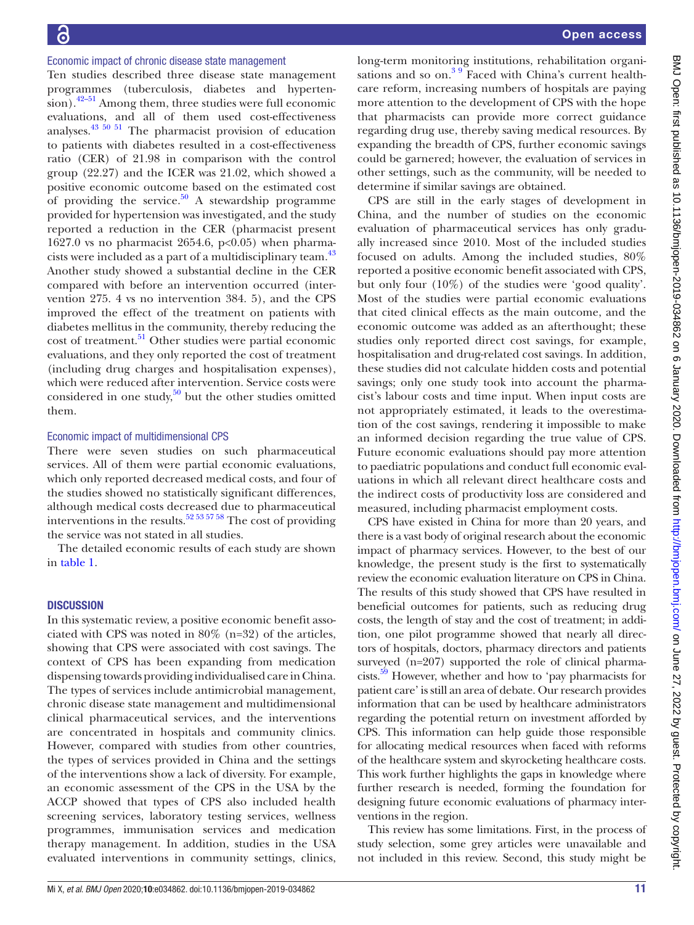#### Economic impact of chronic disease state management

Ten studies described three disease state management programmes (tuberculosis, diabetes and hyperten- $\sinh^{-42-51}$  Among them, three studies were full economic evaluations, and all of them used cost-effectiveness analyses.<sup>[43 50 51](#page-12-16)</sup> The pharmacist provision of education to patients with diabetes resulted in a cost-effectiveness ratio (CER) of 21.98 in comparison with the control group (22.27) and the ICER was 21.02, which showed a positive economic outcome based on the estimated cost of providing the service.<sup>50</sup> A stewardship programme provided for hypertension was investigated, and the study reported a reduction in the CER (pharmacist present 1627.0 vs no pharmacist 2654.6,  $p<0.05$ ) when pharmacists were included as a part of a multidisciplinary team.[43](#page-12-16) Another study showed a substantial decline in the CER compared with before an intervention occurred (intervention 275. 4 vs no intervention 384. 5), and the CPS improved the effect of the treatment on patients with diabetes mellitus in the community, thereby reducing the cost of treatment.<sup>[51](#page-12-24)</sup> Other studies were partial economic evaluations, and they only reported the cost of treatment (including drug charges and hospitalisation expenses), which were reduced after intervention. Service costs were considered in one study, $50$  but the other studies omitted them.

#### Economic impact of multidimensional CPS

There were seven studies on such pharmaceutical services. All of them were partial economic evaluations, which only reported decreased medical costs, and four of the studies showed no statistically significant differences, although medical costs decreased due to pharmaceutical interventions in the results. $52\frac{53\frac{57}{58}}$  The cost of providing the service was not stated in all studies.

The detailed economic results of each study are shown in [table](#page-3-0) 1.

#### **DISCUSSION**

In this systematic review, a positive economic benefit associated with CPS was noted in 80% (n=32) of the articles, showing that CPS were associated with cost savings. The context of CPS has been expanding from medication dispensing towards providing individualised care in China. The types of services include antimicrobial management, chronic disease state management and multidimensional clinical pharmaceutical services, and the interventions are concentrated in hospitals and community clinics. However, compared with studies from other countries, the types of services provided in China and the settings of the interventions show a lack of diversity. For example, an economic assessment of the CPS in the USA by the ACCP showed that types of CPS also included health screening services, laboratory testing services, wellness programmes, immunisation services and medication therapy management. In addition, studies in the USA evaluated interventions in community settings, clinics, long-term monitoring institutions, rehabilitation organisations and so on.<sup>39</sup> Faced with China's current healthcare reform, increasing numbers of hospitals are paying more attention to the development of CPS with the hope that pharmacists can provide more correct guidance regarding drug use, thereby saving medical resources. By expanding the breadth of CPS, further economic savings could be garnered; however, the evaluation of services in other settings, such as the community, will be needed to determine if similar savings are obtained.

CPS are still in the early stages of development in China, and the number of studies on the economic evaluation of pharmaceutical services has only gradually increased since 2010. Most of the included studies focused on adults. Among the included studies, 80% reported a positive economic benefit associated with CPS, but only four (10%) of the studies were 'good quality'. Most of the studies were partial economic evaluations that cited clinical effects as the main outcome, and the economic outcome was added as an afterthought; these studies only reported direct cost savings, for example, hospitalisation and drug-related cost savings. In addition, these studies did not calculate hidden costs and potential savings; only one study took into account the pharmacist's labour costs and time input. When input costs are not appropriately estimated, it leads to the overestimation of the cost savings, rendering it impossible to make an informed decision regarding the true value of CPS. Future economic evaluations should pay more attention to paediatric populations and conduct full economic evaluations in which all relevant direct healthcare costs and the indirect costs of productivity loss are considered and measured, including pharmacist employment costs.

CPS have existed in China for more than 20 years, and there is a vast body of original research about the economic impact of pharmacy services. However, to the best of our knowledge, the present study is the first to systematically review the economic evaluation literature on CPS in China. The results of this study showed that CPS have resulted in beneficial outcomes for patients, such as reducing drug costs, the length of stay and the cost of treatment; in addition, one pilot programme showed that nearly all directors of hospitals, doctors, pharmacy directors and patients surveyed (n=207) supported the role of clinical pharmacists[.59](#page-12-32) However, whether and how to 'pay pharmacists for patient care' is still an area of debate. Our research provides information that can be used by healthcare administrators regarding the potential return on investment afforded by CPS. This information can help guide those responsible for allocating medical resources when faced with reforms of the healthcare system and skyrocketing healthcare costs. This work further highlights the gaps in knowledge where further research is needed, forming the foundation for designing future economic evaluations of pharmacy interventions in the region.

This review has some limitations. First, in the process of study selection, some grey articles were unavailable and not included in this review. Second, this study might be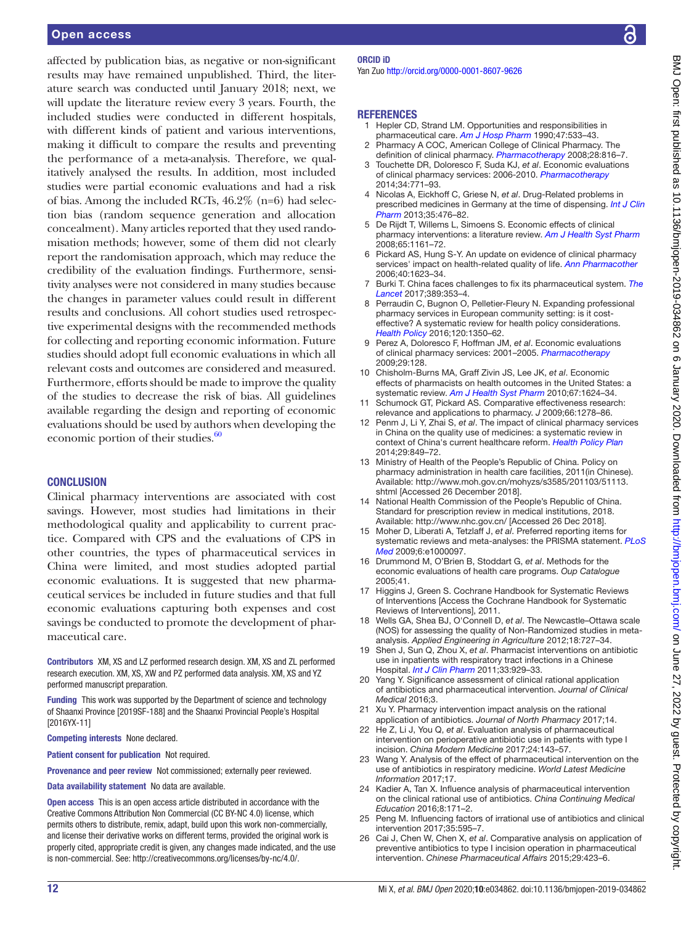#### Open access

affected by publication bias, as negative or non-significant results may have remained unpublished. Third, the literature search was conducted until January 2018; next, we will update the literature review every 3 years. Fourth, the included studies were conducted in different hospitals, with different kinds of patient and various interventions, making it difficult to compare the results and preventing the performance of a meta-analysis. Therefore, we qualitatively analysed the results. In addition, most included studies were partial economic evaluations and had a risk of bias. Among the included RCTs, 46.2% (n=6) had selection bias (random sequence generation and allocation concealment). Many articles reported that they used randomisation methods; however, some of them did not clearly report the randomisation approach, which may reduce the credibility of the evaluation findings. Furthermore, sensitivity analyses were not considered in many studies because the changes in parameter values could result in different results and conclusions. All cohort studies used retrospective experimental designs with the recommended methods for collecting and reporting economic information. Future studies should adopt full economic evaluations in which all relevant costs and outcomes are considered and measured. Furthermore, efforts should be made to improve the quality of the studies to decrease the risk of bias. All guidelines available regarding the design and reporting of economic evaluations should be used by authors when developing the economic portion of their studies. $60$ 

#### **CONCLUSION**

Clinical pharmacy interventions are associated with cost savings. However, most studies had limitations in their methodological quality and applicability to current practice. Compared with CPS and the evaluations of CPS in other countries, the types of pharmaceutical services in China were limited, and most studies adopted partial economic evaluations. It is suggested that new pharmaceutical services be included in future studies and that full economic evaluations capturing both expenses and cost savings be conducted to promote the development of pharmaceutical care.

Contributors XM, XS and LZ performed research design. XM, XS and ZL performed research execution. XM, XS, XW and PZ performed data analysis. XM, XS and YZ performed manuscript preparation.

Funding This work was supported by the Department of science and technology of Shaanxi Province [2019SF-188] and the Shaanxi Provincial People's Hospital [2016YX-11]

Competing interests None declared.

Patient consent for publication Not required.

Provenance and peer review Not commissioned; externally peer reviewed.

Data availability statement No data are available.

Open access This is an open access article distributed in accordance with the Creative Commons Attribution Non Commercial (CC BY-NC 4.0) license, which permits others to distribute, remix, adapt, build upon this work non-commercially, and license their derivative works on different terms, provided the original work is properly cited, appropriate credit is given, any changes made indicated, and the use is non-commercial. See: <http://creativecommons.org/licenses/by-nc/4.0/>.

#### ORCID iD

Yan Zuo<http://orcid.org/0000-0001-8607-9626>

#### **REFERENCES**

- <span id="page-11-0"></span>1 Hepler CD, Strand LM. Opportunities and responsibilities in pharmaceutical care. *[Am J Hosp Pharm](http://dx.doi.org/10.1093/ajhp/47.3.533)* 1990;47:533–43.
- <span id="page-11-1"></span>Pharmacy A COC, American College of Clinical Pharmacy. The definition of clinical pharmacy. *[Pharmacotherapy](http://dx.doi.org/10.1592/phco.28.6.816)* 2008;28:816–7.
- <span id="page-11-2"></span>3 Touchette DR, Doloresco F, Suda KJ, *et al*. Economic evaluations of clinical pharmacy services: 2006-2010. *[Pharmacotherapy](http://dx.doi.org/10.1002/phar.1414)* 2014;34:771–93.
- 4 Nicolas A, Eickhoff C, Griese N, *et al*. Drug-Related problems in prescribed medicines in Germany at the time of dispensing. *[Int J Clin](http://dx.doi.org/10.1007/s11096-013-9769-9)  [Pharm](http://dx.doi.org/10.1007/s11096-013-9769-9)* 2013;35:476–82.
- <span id="page-11-3"></span>5 De Rijdt T, Willems L, Simoens S. Economic effects of clinical pharmacy interventions: a literature review. *[Am J Health Syst Pharm](http://dx.doi.org/10.2146/ajhp070506)* 2008;65:1161–72.
- <span id="page-11-4"></span>6 Pickard AS, Hung S-Y. An update on evidence of clinical pharmacy services' impact on health-related quality of life. *[Ann Pharmacother](http://dx.doi.org/10.1345/aph.1G653)* 2006;40:1623–34.
- <span id="page-11-5"></span>7 Burki T. China faces challenges to fix its pharmaceutical system. *[The](http://dx.doi.org/10.1016/S0140-6736(16)32138-9)  [Lancet](http://dx.doi.org/10.1016/S0140-6736(16)32138-9)* 2017;389:353–4.
- <span id="page-11-6"></span>Perraudin C, Bugnon O, Pelletier-Fleury N. Expanding professional pharmacy services in European community setting: is it costeffective? A systematic review for health policy considerations. *[Health Policy](http://dx.doi.org/10.1016/j.healthpol.2016.09.013)* 2016;120:1350–62.
- <span id="page-11-7"></span>9 Perez A, Doloresco F, Hoffman JM, *et al*. Economic evaluations of clinical pharmacy services: 2001–2005. *[Pharmacotherapy](http://dx.doi.org/10.1592/phco.29.1.128)* 2009;29:128.
- 10 Chisholm-Burns MA, Graff Zivin JS, Lee JK, *et al*. Economic effects of pharmacists on health outcomes in the United States: a systematic review. *[Am J Health Syst Pharm](http://dx.doi.org/10.2146/ajhp100077)* 2010;67:1624–34.
- 11 Schumock GT, Pickard AS. Comparative effectiveness research: relevance and applications to pharmacy. *J* 2009;66:1278–86.
- <span id="page-11-8"></span>12 Penm J, Li Y, Zhai S, *et al*. The impact of clinical pharmacy services in China on the quality use of medicines: a systematic review in context of China's current healthcare reform. *[Health Policy Plan](http://dx.doi.org/10.1093/heapol/czt067)* 2014;29:849–72.
- <span id="page-11-9"></span>13 Ministry of Health of the People's Republic of China. Policy on pharmacy administration in health care facilities, 2011(in Chinese). Available: [http://www.moh.gov.cn/mohyzs/s3585/201103/51113.](http://www.moh.gov.cn/mohyzs/s3585/201103/51113.shtml) [shtml](http://www.moh.gov.cn/mohyzs/s3585/201103/51113.shtml) [Accessed 26 December 2018].
- <span id="page-11-10"></span>14 National Health Commission of the People's Republic of China. Standard for prescription review in medical institutions, 2018. Available: <http://www.nhc.gov.cn/> [Accessed 26 Dec 2018].
- <span id="page-11-11"></span>15 Moher D, Liberati A, Tetzlaff J, *et al*. Preferred reporting items for systematic reviews and meta-analyses: the PRISMA statement. *[PLoS](http://dx.doi.org/10.1371/journal.pmed.1000097)  [Med](http://dx.doi.org/10.1371/journal.pmed.1000097)* 2009;6:e1000097.
- <span id="page-11-12"></span>16 Drummond M, O'Brien B, Stoddart G, *et al*. Methods for the economic evaluations of health care programs. *Oup Catalogue* 2005;41.
- <span id="page-11-13"></span>17 Higgins J, Green S. Cochrane Handbook for Systematic Reviews of Interventions [Access the Cochrane Handbook for Systematic Reviews of Interventions], 2011.
- <span id="page-11-14"></span>18 Wells GA, Shea BJ, O'Connell D, *et al*. The Newcastle–Ottawa scale (NOS) for assessing the quality of Non-Randomized studies in metaanalysis. *Applied Engineering in Agriculture* 2012;18:727–34.
- <span id="page-11-15"></span>19 Shen J, Sun Q, Zhou X, *et al*. Pharmacist interventions on antibiotic use in inpatients with respiratory tract infections in a Chinese Hospital. *[Int J Clin Pharm](http://dx.doi.org/10.1007/s11096-011-9577-z)* 2011;33:929–33.
- <span id="page-11-16"></span>20 Yang Y. Significance assessment of clinical rational application of antibiotics and pharmaceutical intervention. *Journal of Clinical Medical* 2016;3.
- <span id="page-11-17"></span>21 Xu Y. Pharmacy intervention impact analysis on the rational application of antibiotics. *Journal of North Pharmacy* 2017;14.
- <span id="page-11-18"></span>22 He Z, Li J, You Q, *et al*. Evaluation analysis of pharmaceutical intervention on perioperative antibiotic use in patients with type I incision. *China Modern Medicine* 2017;24:143–57.
- <span id="page-11-19"></span>23 Wang Y. Analysis of the effect of pharmaceutical intervention on the use of antibiotics in respiratory medicine. *World Latest Medicine Information* 2017;17.
- <span id="page-11-20"></span>24 Kadier A, Tan X. Influence analysis of pharmaceutical intervention on the clinical rational use of antibiotics. *China Continuing Medical Education* 2016;8:171–2.
- <span id="page-11-21"></span>25 Peng M. Influencing factors of irrational use of antibiotics and clinical intervention 2017;35:595–7.
- <span id="page-11-22"></span>26 Cai J, Chen W, Chen X, *et al*. Comparative analysis on application of preventive antibiotics to type I incision operation in pharmaceutical intervention. *Chinese Pharmaceutical Affairs* 2015;29:423–6.